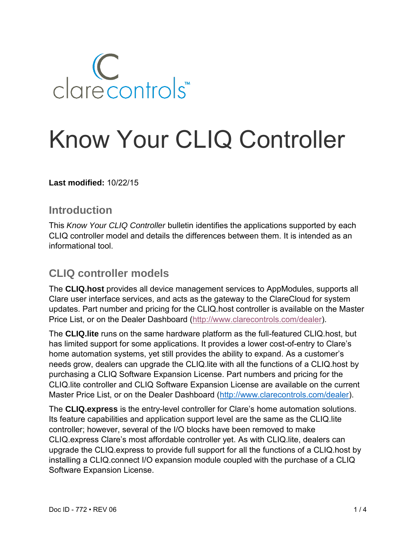

# Know Your CLIQ Controller

**Last modified:** 10/22/15

#### **Introduction**

This *Know Your CLIQ Controller* bulletin identifies the applications supported by each CLIQ controller model and details the differences between them. It is intended as an informational tool.

#### **CLIQ controller models**

The **CLIQ.host** provides all device management services to AppModules, supports all Clare user interface services, and acts as the gateway to the ClareCloud for system updates. Part number and pricing for the CLIQ.host controller is available on the Master Price List, or on the Dealer Dashboard [\(http://www.clarecontrols.com/dealer\)](http://www.clarecontrols.com/dealer).

The **CLIQ.lite** runs on the same hardware platform as the full-featured CLIQ.host, but has limited support for some applications. It provides a lower cost-of-entry to Clare's home automation systems, yet still provides the ability to expand. As a customer's needs grow, dealers can upgrade the CLIQ.lite with all the functions of a CLIQ.host by purchasing a CLIQ Software Expansion License. Part numbers and pricing for the CLIQ.lite controller and CLIQ Software Expansion License are available on the current Master Price List, or on the Dealer Dashboard [\(http://www.clarecontrols.com/dealer\)](http://www.clarecontrols.com/dealer).

The **CLIQ.express** is the entry-level controller for Clare's home automation solutions. Its feature capabilities and application support level are the same as the CLIQ.lite controller; however, several of the I/O blocks have been removed to make CLIQ.express Clare's most affordable controller yet. As with CLIQ.lite, dealers can upgrade the CLIQ.express to provide full support for all the functions of a CLIQ.host by installing a CLIQ.connect I/O expansion module coupled with the purchase of a CLIQ Software Expansion License.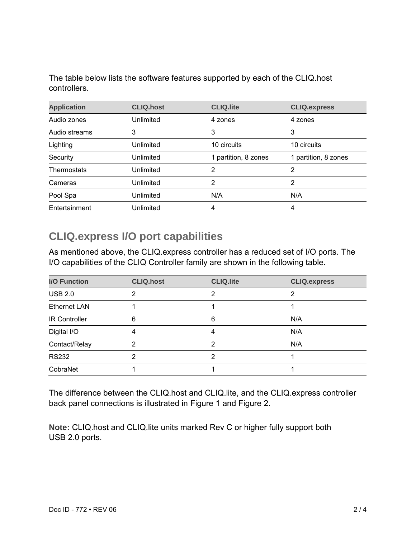The table below lists the software features supported by each of the CLIQ.host controllers.

| <b>Application</b> | <b>CLIQ.host</b> | <b>CLIQ.lite</b>     | <b>CLIQ.express</b>  |
|--------------------|------------------|----------------------|----------------------|
| Audio zones        | Unlimited        | 4 zones              | 4 zones              |
| Audio streams      | 3                | 3                    | 3                    |
| Lighting           | Unlimited        | 10 circuits          | 10 circuits          |
| Security           | Unlimited        | 1 partition, 8 zones | 1 partition, 8 zones |
| Thermostats        | Unlimited        | 2                    | 2                    |
| Cameras            | Unlimited        | 2                    | 2                    |
| Pool Spa           | Unlimited        | N/A                  | N/A                  |
| Entertainment      | Unlimited        | 4                    | 4                    |

#### **CLIQ.express I/O port capabilities**

As mentioned above, the CLIQ.express controller has a reduced set of I/O ports. The I/O capabilities of the CLIQ Controller family are shown in the following table.

| <b>I/O Function</b>  | <b>CLIQ.host</b> | <b>CLIQ.lite</b> | <b>CLIQ.express</b> |
|----------------------|------------------|------------------|---------------------|
| <b>USB 2.0</b>       | っ                | າ                | ⌒                   |
| <b>Ethernet LAN</b>  |                  |                  |                     |
| <b>IR Controller</b> | 6                | 6                | N/A                 |
| Digital I/O          |                  | 4                | N/A                 |
| Contact/Relay        | 2                | 2                | N/A                 |
| <b>RS232</b>         | っ                | າ                |                     |
| CobraNet             |                  |                  |                     |

The difference between the CLIQ.host and CLIQ.lite, and the CLIQ.express controller back panel connections is illustrated in [Figure 1](#page-2-0) and [Figure 2.](#page-3-0)

**Note:** CLIQ.host and CLIQ.lite units marked Rev C or higher fully support both USB 2.0 ports.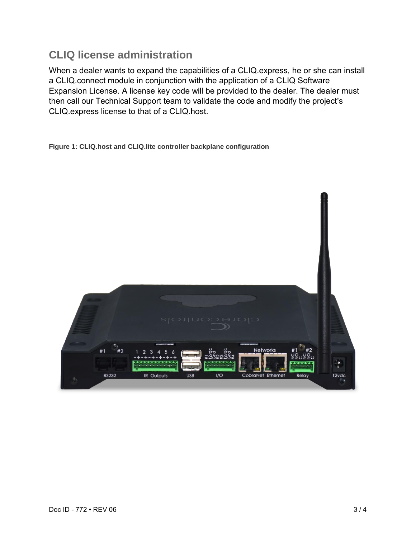## **CLIQ license administration**

When a dealer wants to expand the capabilities of a CLIQ.express, he or she can install a CLIQ.connect module in conjunction with the application of a CLIQ Software Expansion License. A license key code will be provided to the dealer. The dealer must then call our Technical Support team to validate the code and modify the project's CLIQ.express license to that of a CLIQ.host.

<span id="page-2-0"></span>**Figure 1: CLIQ.host and CLIQ.lite controller backplane configuration**